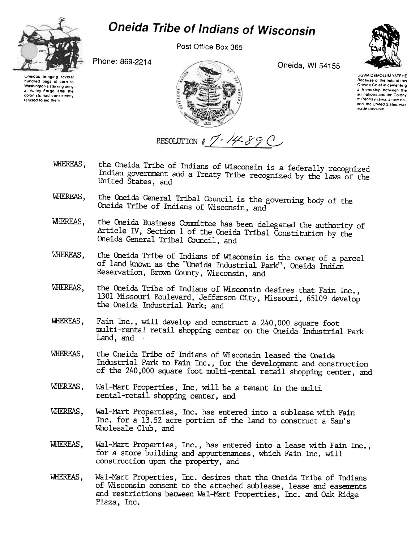

Washington's starving army

at Valley Forge, after the

colonists had consistently

refused to aid them

## Oneida Tribe of Indians of Wisconsin

Post Office Box 365

Phone: 869-2214



Oneida, WI 54155



**UGWA DEMOLUM YATEHE** Because of the help of this Oneida Chief in cementing a friendship between the six nations and the Colony of Pennsylvania, a new nation, the United States, was made possible

RESOLUTION  $17 - 14 - 890$ 

- the Oneida Tribe of Indians of Wisconsin is a federally recognized WHEREAS. Indian government and a Treaty Tribe recognized by the laws of the United States, and
- the Oneida General Tribal Council is the governing body of the WHEREAS. Oneida Tribe of Indians of Wisconsin, and
- the Oneida Business Committee has been delegated the authority of WHEREAS. Article IV, Section 1 of the Oneida Tribal Constitution by the Oneida General Tribal Council, and
- the Oneida Tribe of Indians of Wisconsin is the owner of a parcel WHEREAS. of land known as the "Oneida Industrial Park", Oneida Indian Reservation, Brown County, Wisconsin, and
- the Oneida Tribe of Indians of Wisconsin desires that Fain Inc., WHEREAS. 1301 Missouri Boulevard, Jefferson City, Missouri, 65109 develop the Oneida Industrial Park; and
- WHEREAS. Fain Inc., will develop and construct a 240,000 square foot multi-rental retail shopping center on the Oneida Industrial Park Land, and
- the Oneida Tribe of Indians of Wisconsin leased the Oneida WHEREAS. Industrial Park to Fain Inc., for the development and construction of the 240,000 square foot multi-rental retail shopping center, and
- WHEREAS. Wal-Mart Properties, Inc. will be a tenant in the multi rental-retail shopping center, and
- WHEREAS. Wal-Mart Properties, Inc. has entered into a sublease with Fain Inc. for a 13.52 acre portion of the land to construct a Sam's Wholesale Club, and
- WHEREAS, Wal-Mart Properties, Inc., has entered into a lease with Fain Inc.. for a store building and appurtenances, which Fain Inc. will construction upon the property, and
- Wal-Mart Properties, Inc. desires that the Oneida Tribe of Indians WHEREAS. of Wisconsin consent to the attached sublease, lease and easements and restrictions between Wal-Mart Properties, Inc. and Oak Ridge Plaza, Inc.